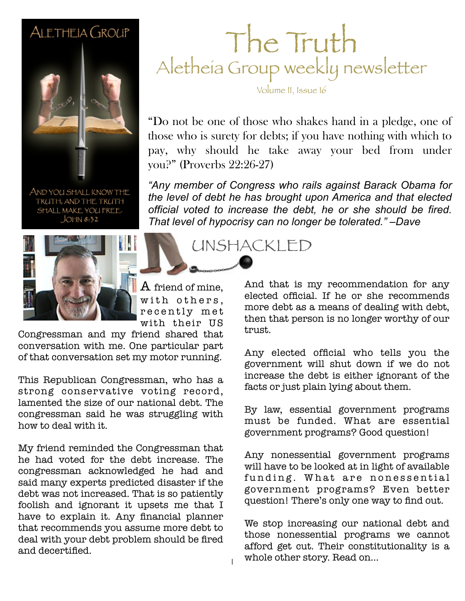#### ALETHEIA GROUP



AND YOU SHALL KNOW THE TRUTH, AND THE TRUTH SHALL MAKE YOU FREE.  $JOHM 8:32$ 



 ${\rm A}$  friend of mine, with others, recently met with their US

1

Congressman and my friend shared that conversation with me. One particular part of that conversation set my motor running.

This Republican Congressman, who has a strong conservative voting record. lamented the size of our national debt. The congressman said he was struggling with how to deal with it.

My friend reminded the Congressman that he had voted for the debt increase. The congressman acknowledged he had and said many experts predicted disaster if the debt was not increased. That is so patiently foolish and ignorant it upsets me that I have to explain it. Any financial planner that recommends you assume more debt to deal with your debt problem should be fired and decertified.

#### The Truth Aletheia Group weekly newsletter

Volume II, Issue 16

"Do not be one of those who shakes hand in a pledge, one of those who is surety for debts; if you have nothing with which to pay, why should he take away your bed from under you?" (Proverbs 22:26-27)

*"Any member of Congress who rails against Barack Obama for the level of debt he has brought upon America and that elected official voted to increase the debt, he or she should be fired. That level of hypocrisy can no longer be tolerated." –Dave*

UNSHACKLED

And that is my recommendation for any elected official. If he or she recommends more debt as a means of dealing with debt, then that person is no longer worthy of our trust.

Any elected official who tells you the government will shut down if we do not increase the debt is either ignorant of the facts or just plain lying about them.

By law, essential government programs must be funded. What are essential government programs? Good question!

Any nonessential government programs will have to be looked at in light of available funding. What are nonessential government programs? Even better question! There's only one way to find out.

We stop increasing our national debt and those nonessential programs we cannot afford get cut. Their constitutionality is a whole other story. Read on...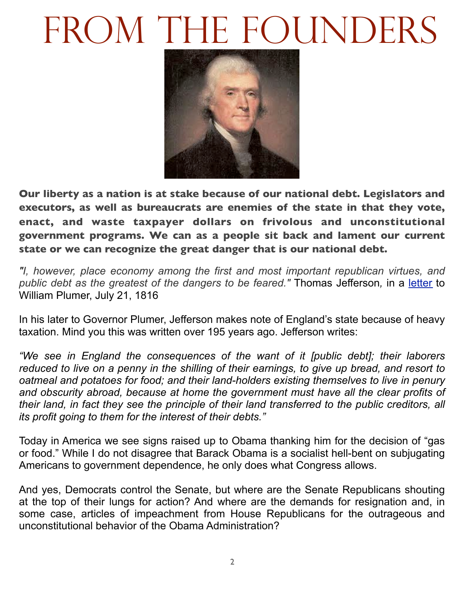## FROM THE FOUNDERS



**Our liberty as a nation is at stake because of our national debt. Legislators and executors, as well as bureaucrats are enemies of the state in that they vote, enact, and waste taxpayer dollars on frivolous and unconstitutional government programs. We can as a people sit back and lament our current state or we can recognize the great danger that is our national debt.**

*"I, however, place economy among the first and most important republican virtues, and public debt as the greatest of the dangers to be feared."* Thomas Jefferson*,* in a [letter](http://memory.loc.gov/master/mss/mtj/mtj1/049/0200/0298.jpg) to William Plumer, July 21, 1816

In his later to Governor Plumer, Jefferson makes note of England's state because of heavy taxation. Mind you this was written over 195 years ago. Jefferson writes:

*"We see in England the consequences of the want of it [public debt]; their laborers reduced to live on a penny in the shilling of their earnings, to give up bread, and resort to oatmeal and potatoes for food; and their land-holders existing themselves to live in penury and obscurity abroad, because at home the government must have all the clear profits of their land, in fact they see the principle of their land transferred to the public creditors, all its profit going to them for the interest of their debts."*

Today in America we see signs raised up to Obama thanking him for the decision of "gas or food." While I do not disagree that Barack Obama is a socialist hell-bent on subjugating Americans to government dependence, he only does what Congress allows.

And yes, Democrats control the Senate, but where are the Senate Republicans shouting at the top of their lungs for action? And where are the demands for resignation and, in some case, articles of impeachment from House Republicans for the outrageous and unconstitutional behavior of the Obama Administration?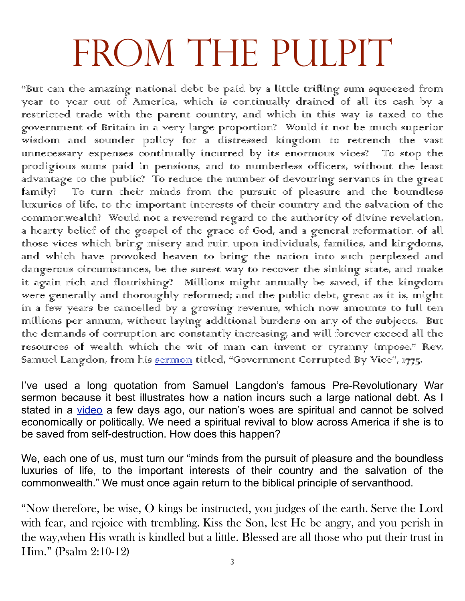### FROM THE PULPIT

"But can the amazing national debt be paid by a little trifling sum squeezed from year to year out of America, which is continually drained of all its cash by a restricted trade with the parent country, and which in this way is taxed to the government of Britain in a very large proportion? Would it not be much superior wisdom and sounder policy for a distressed kingdom to retrench the vast unnecessary expenses continually incurred by its enormous vices? To stop the prodigious sums paid in pensions, and to numberless officers, without the least advantage to the public? To reduce the number of devouring servants in the great family? To turn their minds from the pursuit of pleasure and the boundless luxuries of life, to the important interests of their country and the salvation of the commonwealth? Would not a reverend regard to the authority of divine revelation, a hearty belief of the gospel of the grace of God, and a general reformation of all those vices which bring misery and ruin upon individuals, families, and kingdoms, and which have provoked heaven to bring the nation into such perplexed and dangerous circumstances, be the surest way to recover the sinking state, and make it again rich and flourishing? Millions might annually be saved, if the kingdom were generally and thoroughly reformed; and the public debt, great as it is, might in a few years be cancelled by a growing revenue, which now amounts to full ten millions per annum, without laying additional burdens on any of the subjects. But the demands of corruption are constantly increasing, and will forever exceed all the resources of wealth which the wit of man can invent or tyranny impose." Rev. Samuel Langdon, from his <u>sermon</u> titled, "Government Corrupted By Vice", 1775.

I've used a long quotation from Samuel Langdon's famous Pre-Revolutionary War sermon because it best illustrates how a nation incurs such a large national debt. As I stated in a [video](http://www.youtube.com/watch?v=V7nEaOrRiR8) a few days ago, our nation's woes are spiritual and cannot be solved economically or politically. We need a spiritual revival to blow across America if she is to be saved from self-destruction. How does this happen?

We, each one of us, must turn our "minds from the pursuit of pleasure and the boundless luxuries of life, to the important interests of their country and the salvation of the commonwealth." We must once again return to the biblical principle of servanthood.

"Now therefore, be wise, O kings be instructed, you judges of the earth. Serve the Lord with fear, and rejoice with trembling. Kiss the Son, lest He be angry, and you perish in the way,when His wrath is kindled but a little. Blessed are all those who put their trust in Him." (Psalm 2:10-12)